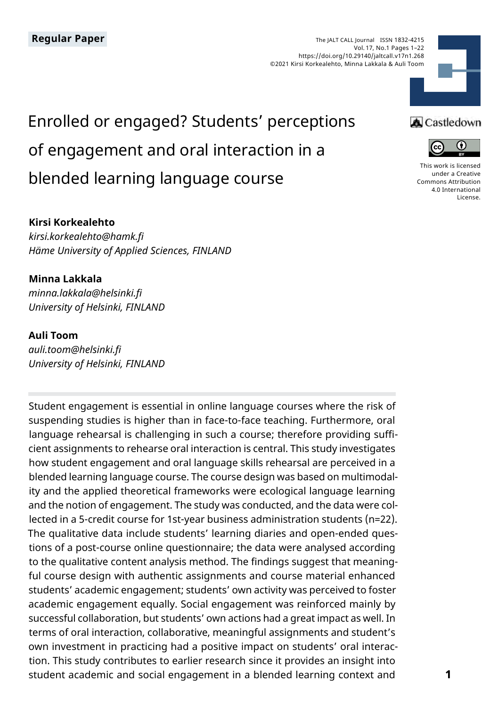

# Enrolled or engaged? Students' perceptions of engagement and oral interaction in a blended learning language course

#### **Kirsi Korkealehto**

*kirsi.korkealehto@hamk.fi Häme University of Applied Sciences, FINLAND*

#### **Minna Lakkala**

*minna.lakkala@helsinki.fi University of Helsinki, FINLAND*

#### **Auli Toom**

*auli.toom@helsinki.fi University of Helsinki, FINLAND*

Student engagement is essential in online language courses where the risk of suspending studies is higher than in face-to-face teaching. Furthermore, oral language rehearsal is challenging in such a course; therefore providing sufficient assignments to rehearse oral interaction is central. This study investigates how student engagement and oral language skills rehearsal are perceived in a blended learning language course. The course design was based on multimodality and the applied theoretical frameworks were ecological language learning and the notion of engagement. The study was conducted, and the data were collected in a 5-credit course for 1st-year business administration students (n=22). The qualitative data include students' learning diaries and open-ended questions of a post-course online questionnaire; the data were analysed according to the qualitative content analysis method. The findings suggest that meaningful course design with authentic assignments and course material enhanced students' academic engagement; students' own activity was perceived to foster academic engagement equally. Social engagement was reinforced mainly by successful collaboration, but students' own actions had a great impact as well. In terms of oral interaction, collaborative, meaningful assignments and student's own investment in practicing had a positive impact on students' oral interaction. This study contributes to earlier research since it provides an insight into student academic and social engagement in a blended learning context and

#### **A** Castledown



[This work is licensed](https://creativecommons.org/licenses/by/4.0/)  [under a Creative](https://creativecommons.org/licenses/by/4.0/)  [Commons Attribution](https://creativecommons.org/licenses/by/4.0/)  [4.0 International](https://creativecommons.org/licenses/by/4.0/)  [License](https://creativecommons.org/licenses/by/4.0/).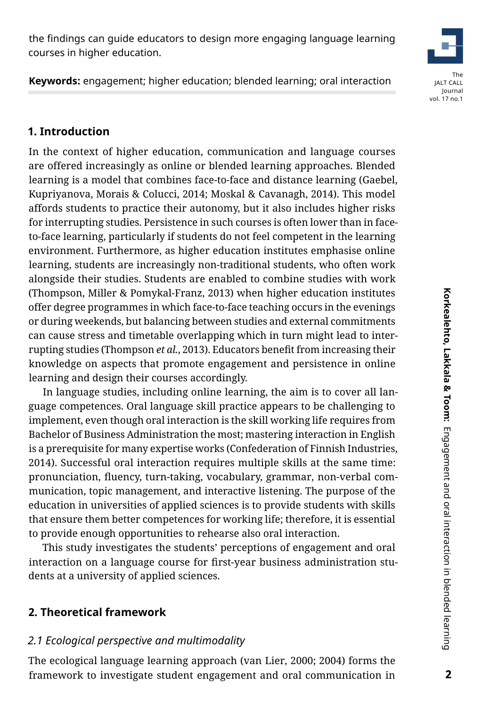the findings can guide educators to design more engaging language learning courses in higher education.

**Keywords:** engagement; higher education; blended learning; oral interaction

# **1. Introduction**

In the context of higher education, communication and language courses are offered increasingly as online or blended learning approaches. Blended learning is a model that combines face-to-face and distance learning (Gaebel, Kupriyanova, Morais & Colucci, 2014; Moskal & Cavanagh, 2014). This model affords students to practice their autonomy, but it also includes higher risks for interrupting studies. Persistence in such courses is often lower than in faceto-face learning, particularly if students do not feel competent in the learning environment. Furthermore, as higher education institutes emphasise online learning, students are increasingly non-traditional students, who often work alongside their studies. Students are enabled to combine studies with work (Thompson, Miller & Pomykal-Franz, 2013) when higher education institutes offer degree programmes in which face-to-face teaching occurs in the evenings or during weekends, but balancing between studies and external commitments can cause stress and timetable overlapping which in turn might lead to interrupting studies (Thompson *et al.*, 2013). Educators benefit from increasing their knowledge on aspects that promote engagement and persistence in online learning and design their courses accordingly.

In language studies, including online learning, the aim is to cover all language competences. Oral language skill practice appears to be challenging to implement, even though oral interaction is the skill working life requires from Bachelor of Business Administration the most; mastering interaction in English is a prerequisite for many expertise works (Confederation of Finnish Industries, 2014). Successful oral interaction requires multiple skills at the same time: pronunciation, fluency, turn-taking, vocabulary, grammar, non-verbal communication, topic management, and interactive listening. The purpose of the education in universities of applied sciences is to provide students with skills that ensure them better competences for working life; therefore, it is essential to provide enough opportunities to rehearse also oral interaction.

This study investigates the students' perceptions of engagement and oral interaction on a language course for first-year business administration students at a university of applied sciences.

#### **2. Theoretical framework**

#### *2.1 Ecological perspective and multimodality*

The ecological language learning approach (van Lier, 2000; 2004) forms the framework to investigate student engagement and oral communication in

 $\overline{2}$ 

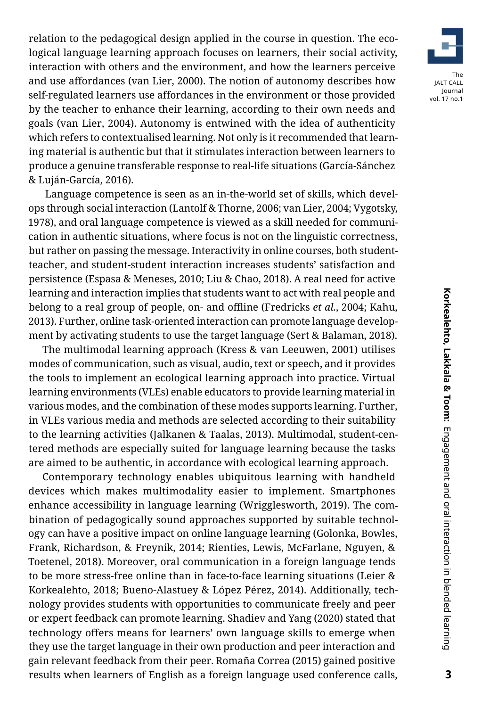relation to the pedagogical design applied in the course in question. The ecological language learning approach focuses on learners, their social activity, interaction with others and the environment, and how the learners perceive and use affordances (van Lier, 2000). The notion of autonomy describes how self-regulated learners use affordances in the environment or those provided by the teacher to enhance their learning, according to their own needs and goals (van Lier, 2004). Autonomy is entwined with the idea of authenticity which refers to contextualised learning. Not only is it recommended that learning material is authentic but that it stimulates interaction between learners to produce a genuine transferable response to real-life situations (García-Sánchez & Luján-García, 2016).

 Language competence is seen as an in-the-world set of skills, which develops through social interaction (Lantolf & Thorne, 2006; van Lier, 2004; Vygotsky, 1978), and oral language competence is viewed as a skill needed for communication in authentic situations, where focus is not on the linguistic correctness, but rather on passing the message. Interactivity in online courses, both studentteacher, and student-student interaction increases students' satisfaction and persistence (Espasa & Meneses, 2010; Liu & Chao, 2018). A real need for active learning and interaction implies that students want to act with real people and belong to a real group of people, on- and offline (Fredricks *et al.*, 2004; Kahu, 2013). Further, online task-oriented interaction can promote language development by activating students to use the target language (Sert & Balaman, 2018).

The multimodal learning approach (Kress & van Leeuwen, 2001) utilises modes of communication, such as visual, audio, text or speech, and it provides the tools to implement an ecological learning approach into practice. Virtual learning environments (VLEs) enable educators to provide learning material in various modes, and the combination of these modes supports learning. Further, in VLEs various media and methods are selected according to their suitability to the learning activities (Jalkanen & Taalas, 2013). Multimodal, student-centered methods are especially suited for language learning because the tasks are aimed to be authentic, in accordance with ecological learning approach.

Contemporary technology enables ubiquitous learning with handheld devices which makes multimodality easier to implement. Smartphones enhance accessibility in language learning (Wrigglesworth, 2019). The combination of pedagogically sound approaches supported by suitable technology can have a positive impact on online language learning (Golonka, Bowles, Frank, Richardson, & Freynik, 2014; Rienties, Lewis, McFarlane, Nguyen, & Toetenel, 2018). Moreover, oral communication in a foreign language tends to be more stress-free online than in face-to-face learning situations (Leier & Korkealehto, 2018; Bueno-Alastuey & López Pérez, 2014). Additionally, technology provides students with opportunities to communicate freely and peer or expert feedback can promote learning. Shadiev and Yang (2020) stated that technology offers means for learners' own language skills to emerge when they use the target language in their own production and peer interaction and gain relevant feedback from their peer. Romaña Correa (2015) gained positive results when learners of English as a foreign language used conference calls,

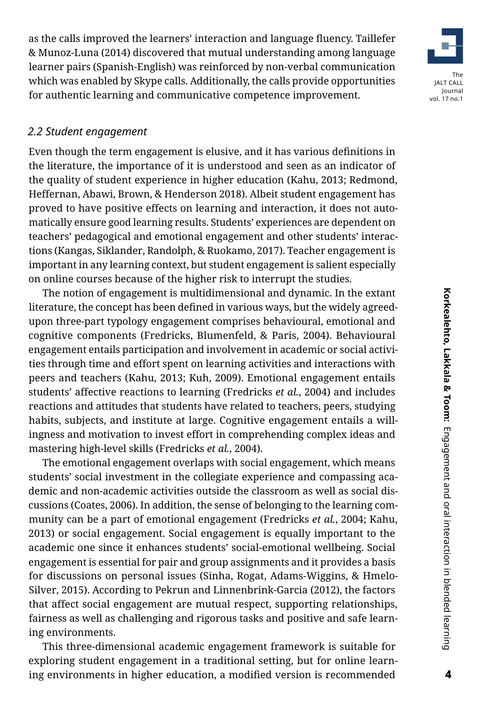as the calls improved the learners' interaction and language fluency. Taillefer & Munoz-Luna (2014) discovered that mutual understanding among language learner pairs (Spanish-English) was reinforced by non-verbal communication which was enabled by Skype calls. Additionally, the calls provide opportunities for authentic learning and communicative competence improvement.

#### *2.2 Student engagement*

Even though the term engagement is elusive, and it has various definitions in the literature, the importance of it is understood and seen as an indicator of the quality of student experience in higher education (Kahu, 2013; Redmond, Heffernan, Abawi, Brown, & Henderson 2018). Albeit student engagement has proved to have positive effects on learning and interaction, it does not automatically ensure good learning results. Students' experiences are dependent on teachers' pedagogical and emotional engagement and other students' interactions (Kangas, Siklander, Randolph, & Ruokamo, 2017). Teacher engagement is important in any learning context, but student engagement is salient especially on online courses because of the higher risk to interrupt the studies.

The notion of engagement is multidimensional and dynamic. In the extant literature, the concept has been defined in various ways, but the widely agreedupon three-part typology engagement comprises behavioural, emotional and cognitive components (Fredricks, Blumenfeld, & Paris, 2004). Behavioural engagement entails participation and involvement in academic or social activities through time and effort spent on learning activities and interactions with peers and teachers (Kahu, 2013; Kuh, 2009). Emotional engagement entails students' affective reactions to learning (Fredricks *et al.*, 2004) and includes reactions and attitudes that students have related to teachers, peers, studying habits, subjects, and institute at large. Cognitive engagement entails a willingness and motivation to invest effort in comprehending complex ideas and mastering high-level skills (Fredricks *et al.*, 2004).

The emotional engagement overlaps with social engagement, which means students' social investment in the collegiate experience and compassing academic and non-academic activities outside the classroom as well as social discussions (Coates, 2006). In addition, the sense of belonging to the learning community can be a part of emotional engagement (Fredricks *et al.*, 2004; Kahu, 2013) or social engagement. Social engagement is equally important to the academic one since it enhances students' social-emotional wellbeing. Social engagement is essential for pair and group assignments and it provides a basis for discussions on personal issues (Sinha, Rogat, Adams-Wiggins, & Hmelo-Silver, 2015). According to Pekrun and Linnenbrink-Garcia (2012), the factors that affect social engagement are mutual respect, supporting relationships, fairness as well as challenging and rigorous tasks and positive and safe learning environments.

This three-dimensional academic engagement framework is suitable for exploring student engagement in a traditional setting, but for online learning environments in higher education, a modified version is recommended

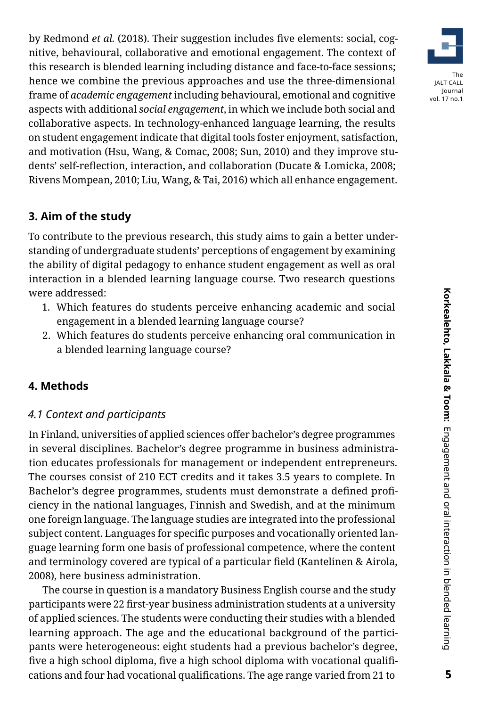by Redmond *et al.* (2018). Their suggestion includes five elements: social, cognitive, behavioural, collaborative and emotional engagement. The context of this research is blended learning including distance and face-to-face sessions; hence we combine the previous approaches and use the three-dimensional frame of *academic engagement* including behavioural, emotional and cognitive aspects with additional *social engagement*, in which we include both social and collaborative aspects. In technology-enhanced language learning, the results on student engagement indicate that digital tools foster enjoyment, satisfaction, and motivation (Hsu, Wang, & Comac, 2008; Sun, 2010) and they improve students' self-reflection, interaction, and collaboration (Ducate & Lomicka, 2008; Rivens Mompean, 2010; Liu, Wang, & Tai, 2016) which all enhance engagement.

#### **3. Aim of the study**

To contribute to the previous research, this study aims to gain a better understanding of undergraduate students' perceptions of engagement by examining the ability of digital pedagogy to enhance student engagement as well as oral interaction in a blended learning language course. Two research questions were addressed:

- 1. Which features do students perceive enhancing academic and social engagement in a blended learning language course?
- 2. Which features do students perceive enhancing oral communication in a blended learning language course?

#### **4. Methods**

#### *4.1 Context and participants*

In Finland, universities of applied sciences offer bachelor's degree programmes in several disciplines. Bachelor's degree programme in business administration educates professionals for management or independent entrepreneurs. The courses consist of 210 ECT credits and it takes 3.5 years to complete. In Bachelor's degree programmes, students must demonstrate a defined proficiency in the national languages, Finnish and Swedish, and at the minimum one foreign language. The language studies are integrated into the professional subject content. Languages for specific purposes and vocationally oriented language learning form one basis of professional competence, where the content and terminology covered are typical of a particular field (Kantelinen & Airola, 2008), here business administration.

The course in question is a mandatory Business English course and the study participants were 22 first-year business administration students at a university of applied sciences. The students were conducting their studies with a blended learning approach. The age and the educational background of the participants were heterogeneous: eight students had a previous bachelor's degree, five a high school diploma, five a high school diploma with vocational qualifications and four had vocational qualifications. The age range varied from 21 to

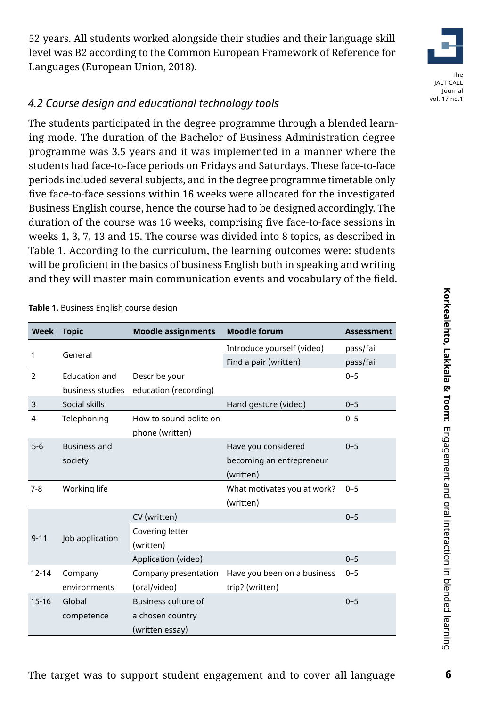52 years. All students worked alongside their studies and their language skill level was B2 according to the Common European Framework of Reference for Languages (European Union, 2018).

#### *4.2 Course design and educational technology tools*

The students participated in the degree programme through a blended learning mode. The duration of the Bachelor of Business Administration degree programme was 3.5 years and it was implemented in a manner where the students had face-to-face periods on Fridays and Saturdays. These face-to-face periods included several subjects, and in the degree programme timetable only five face-to-face sessions within 16 weeks were allocated for the investigated Business English course, hence the course had to be designed accordingly. The duration of the course was 16 weeks, comprising five face-to-face sessions in weeks 1, 3, 7, 13 and 15. The course was divided into 8 topics, as described in Table 1. According to the curriculum, the learning outcomes were: students will be proficient in the basics of business English both in speaking and writing and they will master main communication events and vocabulary of the field.

**Week Topic Moodle assignments Moodle forum Assessment** 1 General Introduce yourself (video) pass/fail Find a pair (written) pass/fail 2 Education and business studies education (recording) Describe your 0–5 3 Social skills Hand gesture (video) 0–5 4 Telephoning How to sound polite on phone (written) 0–5 5-6 Business and society Have you considered becoming an entrepreneur (written)  $0 - 5$ 7-8 Working life What motivates you at work? (written)  $0 - 5$ 9-11 Job application CV (written) 0–5 Covering letter (written) Application (video) 0–5 12-14 Company environments Company presentation (oral/video) Have you been on a business trip? (written) 0–5 15-16 Global competence Business culture of a chosen country (written essay)  $0 - 5$ 

**Table 1.** Business English course design

# 6

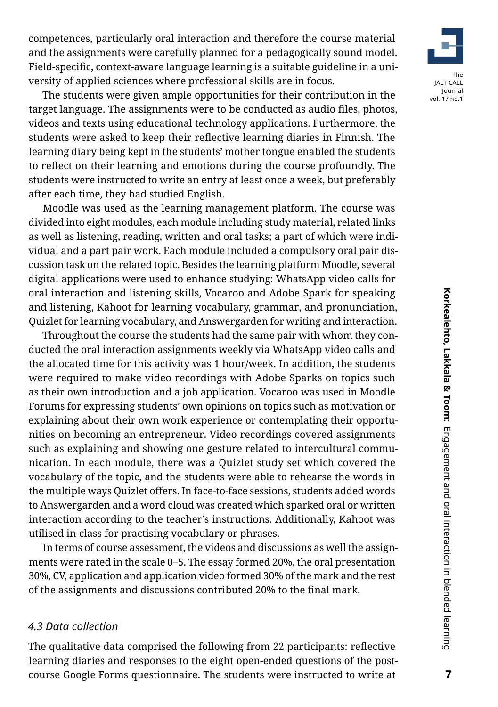competences, particularly oral interaction and therefore the course material and the assignments were carefully planned for a pedagogically sound model. Field-specific, context-aware language learning is a suitable guideline in a university of applied sciences where professional skills are in focus.

The students were given ample opportunities for their contribution in the target language. The assignments were to be conducted as audio files, photos, videos and texts using educational technology applications. Furthermore, the students were asked to keep their reflective learning diaries in Finnish. The learning diary being kept in the students' mother tongue enabled the students to reflect on their learning and emotions during the course profoundly. The students were instructed to write an entry at least once a week, but preferably after each time, they had studied English.

Moodle was used as the learning management platform. The course was divided into eight modules, each module including study material, related links as well as listening, reading, written and oral tasks; a part of which were individual and a part pair work. Each module included a compulsory oral pair discussion task on the related topic. Besides the learning platform Moodle, several digital applications were used to enhance studying: WhatsApp video calls for oral interaction and listening skills, Vocaroo and Adobe Spark for speaking and listening, Kahoot for learning vocabulary, grammar, and pronunciation, Quizlet for learning vocabulary, and Answergarden for writing and interaction.

Throughout the course the students had the same pair with whom they conducted the oral interaction assignments weekly via WhatsApp video calls and the allocated time for this activity was 1 hour/week. In addition, the students were required to make video recordings with Adobe Sparks on topics such as their own introduction and a job application. Vocaroo was used in Moodle Forums for expressing students' own opinions on topics such as motivation or explaining about their own work experience or contemplating their opportunities on becoming an entrepreneur. Video recordings covered assignments such as explaining and showing one gesture related to intercultural communication. In each module, there was a Quizlet study set which covered the vocabulary of the topic, and the students were able to rehearse the words in the multiple ways Quizlet offers. In face-to-face sessions, students added words to Answergarden and a word cloud was created which sparked oral or written interaction according to the teacher's instructions. Additionally, Kahoot was utilised in-class for practising vocabulary or phrases.

In terms of course assessment, the videos and discussions as well the assignments were rated in the scale 0–5. The essay formed 20%, the oral presentation 30%, CV, application and application video formed 30% of the mark and the rest of the assignments and discussions contributed 20% to the final mark.

#### *4.3 Data collection*

The qualitative data comprised the following from 22 participants: reflective learning diaries and responses to the eight open-ended questions of the postcourse Google Forms questionnaire. The students were instructed to write at

 $\overline{7}$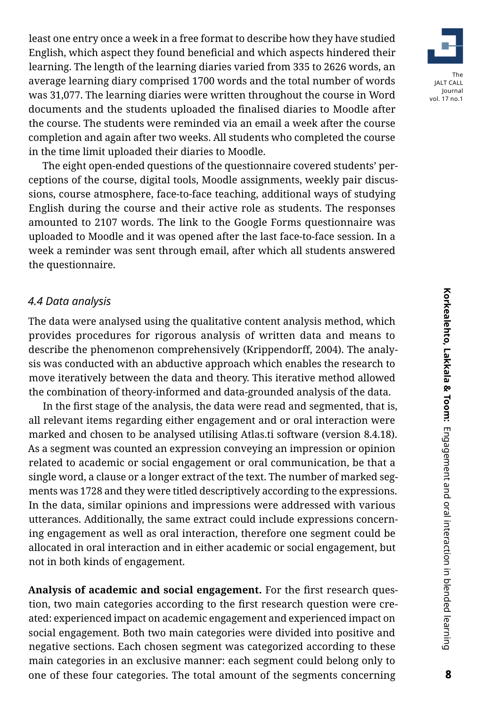least one entry once a week in a free format to describe how they have studied English, which aspect they found beneficial and which aspects hindered their learning. The length of the learning diaries varied from 335 to 2626 words, an average learning diary comprised 1700 words and the total number of words was 31,077. The learning diaries were written throughout the course in Word documents and the students uploaded the finalised diaries to Moodle after the course. The students were reminded via an email a week after the course completion and again after two weeks. All students who completed the course in the time limit uploaded their diaries to Moodle.

The eight open-ended questions of the questionnaire covered students' perceptions of the course, digital tools, Moodle assignments, weekly pair discussions, course atmosphere, face-to-face teaching, additional ways of studying English during the course and their active role as students. The responses amounted to 2107 words. The link to the Google Forms questionnaire was uploaded to Moodle and it was opened after the last face-to-face session. In a week a reminder was sent through email, after which all students answered the questionnaire.

#### *4.4 Data analysis*

The data were analysed using the qualitative content analysis method, which provides procedures for rigorous analysis of written data and means to describe the phenomenon comprehensively (Krippendorff, 2004). The analysis was conducted with an abductive approach which enables the research to move iteratively between the data and theory. This iterative method allowed the combination of theory-informed and data-grounded analysis of the data.

In the first stage of the analysis, the data were read and segmented, that is, all relevant items regarding either engagement and or oral interaction were marked and chosen to be analysed utilising Atlas.ti software (version 8.4.18). As a segment was counted an expression conveying an impression or opinion related to academic or social engagement or oral communication, be that a single word, a clause or a longer extract of the text. The number of marked segments was 1728 and they were titled descriptively according to the expressions. In the data, similar opinions and impressions were addressed with various utterances. Additionally, the same extract could include expressions concerning engagement as well as oral interaction, therefore one segment could be allocated in oral interaction and in either academic or social engagement, but not in both kinds of engagement.

**Analysis of academic and social engagement.** For the first research question, two main categories according to the first research question were created: experienced impact on academic engagement and experienced impact on social engagement. Both two main categories were divided into positive and negative sections. Each chosen segment was categorized according to these main categories in an exclusive manner: each segment could belong only to one of these four categories. The total amount of the segments concerning

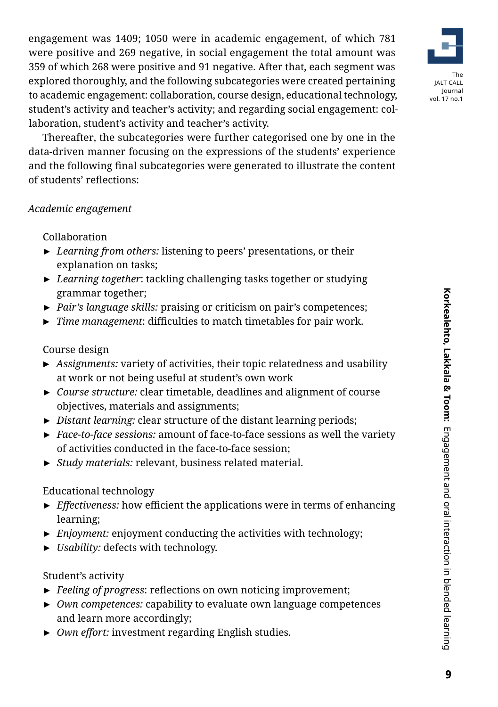engagement was 1409; 1050 were in academic engagement, of which 781 were positive and 269 negative, in social engagement the total amount was 359 of which 268 were positive and 91 negative. After that, each segment was explored thoroughly, and the following subcategories were created pertaining to academic engagement: collaboration, course design, educational technology, student's activity and teacher's activity; and regarding social engagement: collaboration, student's activity and teacher's activity.

Thereafter, the subcategories were further categorised one by one in the data-driven manner focusing on the expressions of the students' experience and the following final subcategories were generated to illustrate the content of students' reflections:

#### *Academic engagement*

#### Collaboration

- ► *Learning from others:* listening to peers' presentations, or their explanation on tasks;
- ► *Learning together*: tackling challenging tasks together or studying grammar together;
- ► *Pair's language skills:* praising or criticism on pair's competences;
- ► *Time management*: difficulties to match timetables for pair work.

### Course design

- ► *Assignments:* variety of activities, their topic relatedness and usability at work or not being useful at student's own work
- ► *Course structure:* clear timetable, deadlines and alignment of course objectives, materials and assignments;
- ► *Distant learning:* clear structure of the distant learning periods;
- ► *Face-to-face sessions:* amount of face-to-face sessions as well the variety of activities conducted in the face-to-face session;
- ► *Study materials:* relevant, business related material.

#### Educational technology

- ► *Effectiveness:* how efficient the applications were in terms of enhancing learning;
- ► *Enjoyment:* enjoyment conducting the activities with technology;
- ► *Usability:* defects with technology.

#### Student's activity

- ► *Feeling of progress*: reflections on own noticing improvement;
- ► *Own competences:* capability to evaluate own language competences and learn more accordingly;
- ► *Own effort:* investment regarding English studies.

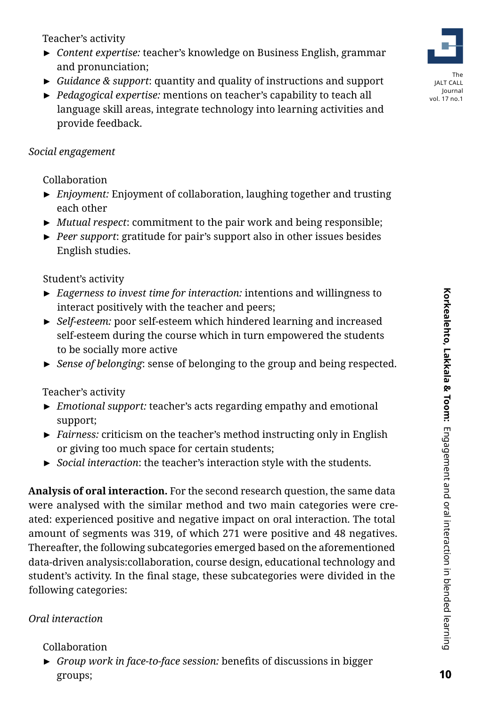Teacher's activity

- ► *Content expertise:* teacher's knowledge on Business English, grammar and pronunciation;
- ► *Guidance & support*: quantity and quality of instructions and support
- ► *Pedagogical expertise:* mentions on teacher's capability to teach all language skill areas, integrate technology into learning activities and provide feedback.

### *Social engagement*

Collaboration

- ► *Enjoyment:* Enjoyment of collaboration, laughing together and trusting each other
- ► *Mutual respect*: commitment to the pair work and being responsible;
- ► *Peer support*: gratitude for pair's support also in other issues besides English studies.

Student's activity

- ► *Eagerness to invest time for interaction:* intentions and willingness to interact positively with the teacher and peers;
- ► *Self-esteem:* poor self-esteem which hindered learning and increased self-esteem during the course which in turn empowered the students to be socially more active
- ► *Sense of belonging*: sense of belonging to the group and being respected.

Teacher's activity

- ► *Emotional support:* teacher's acts regarding empathy and emotional support;
- ► *Fairness:* criticism on the teacher's method instructing only in English or giving too much space for certain students;
- ► *Social interaction*: the teacher's interaction style with the students.

**Analysis of oral interaction.** For the second research question, the same data were analysed with the similar method and two main categories were created: experienced positive and negative impact on oral interaction. The total amount of segments was 319, of which 271 were positive and 48 negatives. Thereafter, the following subcategories emerged based on the aforementioned data-driven analysis:collaboration, course design, educational technology and student's activity. In the final stage, these subcategories were divided in the following categories:

## *Oral interaction*

#### Collaboration

► *Group work in face-to-face session:* benefits of discussions in bigger groups;

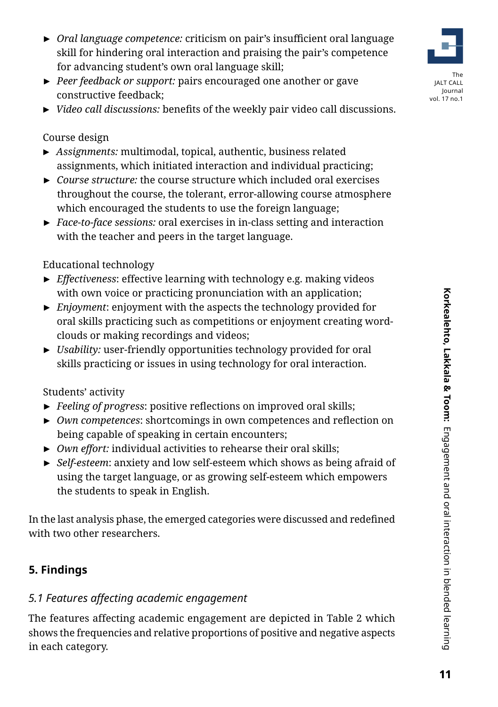- ► *Oral language competence:* criticism on pair's insufficient oral language skill for hindering oral interaction and praising the pair's competence for advancing student's own oral language skill;
- ► *Peer feedback or support:* pairs encouraged one another or gave constructive feedback;
- ► *Video call discussions:* benefits of the weekly pair video call discussions.

Course design

- ► *Assignments:* multimodal, topical, authentic, business related assignments, which initiated interaction and individual practicing;
- ► *Course structure:* the course structure which included oral exercises throughout the course, the tolerant, error-allowing course atmosphere which encouraged the students to use the foreign language;
- ► *Face-to-face sessions:* oral exercises in in-class setting and interaction with the teacher and peers in the target language.

Educational technology

- ► *Effectiveness*: effective learning with technology e.g. making videos with own voice or practicing pronunciation with an application;
- ► *Enjoyment*: enjoyment with the aspects the technology provided for oral skills practicing such as competitions or enjoyment creating wordclouds or making recordings and videos;
- ► *Usability:* user-friendly opportunities technology provided for oral skills practicing or issues in using technology for oral interaction.

Students' activity

- ► *Feeling of progress*: positive reflections on improved oral skills;
- ► *Own competences*: shortcomings in own competences and reflection on being capable of speaking in certain encounters;
- ► *Own effort:* individual activities to rehearse their oral skills;
- ► *Self-esteem*: anxiety and low self-esteem which shows as being afraid of using the target language, or as growing self-esteem which empowers the students to speak in English.

In the last analysis phase, the emerged categories were discussed and redefined with two other researchers.

# **5. Findings**

# *5.1 Features affecting academic engagement*

The features affecting academic engagement are depicted in Table 2 which shows the frequencies and relative proportions of positive and negative aspects in each category.

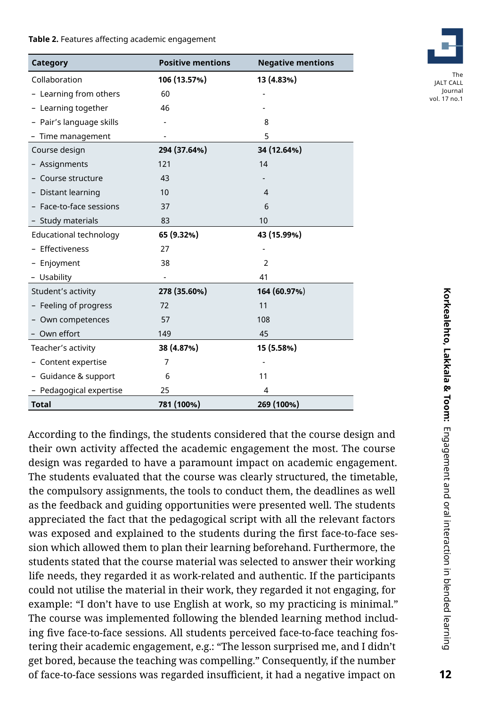#### **Table 2.** Features affecting academic engagement

| Category                 | <b>Positive mentions</b> | <b>Negative mentions</b> |
|--------------------------|--------------------------|--------------------------|
| Collaboration            | 106 (13.57%)             | 13 (4.83%)               |
| - Learning from others   | 60                       |                          |
| - Learning together      | 46                       |                          |
| - Pair's language skills |                          | 8                        |
| - Time management        |                          | 5                        |
| Course design            | 294 (37.64%)             | 34 (12.64%)              |
| - Assignments            | 121                      | 14                       |
| Course structure         | 43                       |                          |
| - Distant learning       | 10                       | 4                        |
| - Face-to-face sessions  | 37                       | 6                        |
| - Study materials        | 83                       | 10                       |
| Educational technology   | 65 (9.32%)               | 43 (15.99%)              |
| - Effectiveness          | 27                       |                          |
| - Enjoyment              | 38                       | $\overline{2}$           |
| - Usability              |                          | 41                       |
| Student's activity       | 278 (35.60%)             | 164 (60.97%)             |
| - Feeling of progress    | 72                       | 11                       |
| Own competences          | 57                       | 108                      |
| - Own effort             | 149                      | 45                       |
| Teacher's activity       | 38 (4.87%)               | 15 (5.58%)               |
| - Content expertise      | 7                        |                          |
| - Guidance & support     | 6                        | 11                       |
| - Pedagogical expertise  | 25                       | 4                        |
| <b>Total</b>             | 781 (100%)               | 269 (100%)               |

According to the findings, the students considered that the course design and their own activity affected the academic engagement the most. The course design was regarded to have a paramount impact on academic engagement. The students evaluated that the course was clearly structured, the timetable, the compulsory assignments, the tools to conduct them, the deadlines as well as the feedback and guiding opportunities were presented well. The students appreciated the fact that the pedagogical script with all the relevant factors was exposed and explained to the students during the first face-to-face session which allowed them to plan their learning beforehand. Furthermore, the students stated that the course material was selected to answer their working life needs, they regarded it as work-related and authentic. If the participants could not utilise the material in their work, they regarded it not engaging, for example: "I don't have to use English at work, so my practicing is minimal." The course was implemented following the blended learning method including five face-to-face sessions. All students perceived face-to-face teaching fostering their academic engagement, e.g.: "The lesson surprised me, and I didn't get bored, because the teaching was compelling." Consequently, if the number of face-to-face sessions was regarded insufficient, it had a negative impact on

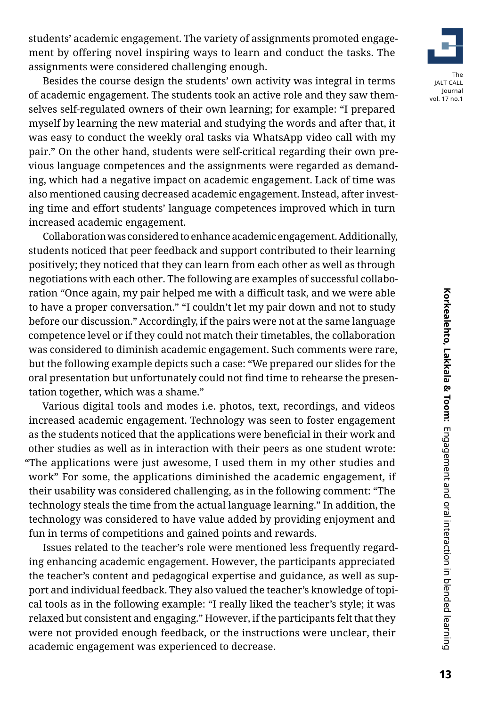students' academic engagement. The variety of assignments promoted engagement by offering novel inspiring ways to learn and conduct the tasks. The assignments were considered challenging enough.

Besides the course design the students' own activity was integral in terms of academic engagement. The students took an active role and they saw themselves self-regulated owners of their own learning; for example: "I prepared myself by learning the new material and studying the words and after that, it was easy to conduct the weekly oral tasks via WhatsApp video call with my pair." On the other hand, students were self-critical regarding their own previous language competences and the assignments were regarded as demanding, which had a negative impact on academic engagement. Lack of time was also mentioned causing decreased academic engagement. Instead, after investing time and effort students' language competences improved which in turn increased academic engagement.

Collaboration was considered to enhance academic engagement. Additionally, students noticed that peer feedback and support contributed to their learning positively; they noticed that they can learn from each other as well as through negotiations with each other. The following are examples of successful collaboration "Once again, my pair helped me with a difficult task, and we were able to have a proper conversation." "I couldn't let my pair down and not to study before our discussion." Accordingly, if the pairs were not at the same language competence level or if they could not match their timetables, the collaboration was considered to diminish academic engagement. Such comments were rare, but the following example depicts such a case: "We prepared our slides for the oral presentation but unfortunately could not find time to rehearse the presentation together, which was a shame."

Various digital tools and modes i.e. photos, text, recordings, and videos increased academic engagement. Technology was seen to foster engagement as the students noticed that the applications were beneficial in their work and other studies as well as in interaction with their peers as one student wrote: "The applications were just awesome, I used them in my other studies and work" For some, the applications diminished the academic engagement, if their usability was considered challenging, as in the following comment: "The technology steals the time from the actual language learning." In addition, the technology was considered to have value added by providing enjoyment and fun in terms of competitions and gained points and rewards.

Issues related to the teacher's role were mentioned less frequently regarding enhancing academic engagement. However, the participants appreciated the teacher's content and pedagogical expertise and guidance, as well as support and individual feedback. They also valued the teacher's knowledge of topical tools as in the following example: "I really liked the teacher's style; it was relaxed but consistent and engaging." However, if the participants felt that they were not provided enough feedback, or the instructions were unclear, their academic engagement was experienced to decrease.



vol. 17 no.1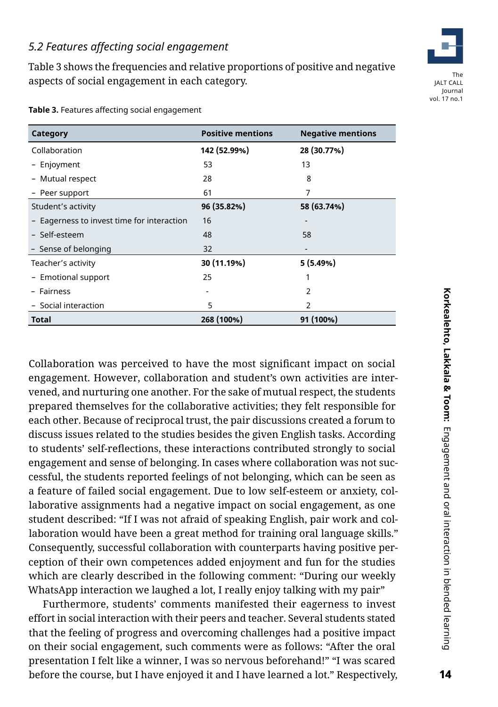#### *5.2 Features affecting social engagement*

Table 3 shows the frequencies and relative proportions of positive and negative aspects of social engagement in each category.

| Category                                   | <b>Positive mentions</b>     | <b>Negative mentions</b> |
|--------------------------------------------|------------------------------|--------------------------|
| Collaboration                              | 142 (52.99%)                 | 28 (30.77%)              |
| - Enjoyment                                | 53                           | 13                       |
| - Mutual respect                           | 28                           | 8                        |
| - Peer support                             | 61                           | 7                        |
| Student's activity                         | 96 (35.82%)                  | 58 (63.74%)              |
| - Eagerness to invest time for interaction | 16                           |                          |
| - Self-esteem                              | 48                           | 58                       |
| - Sense of belonging                       | 32                           |                          |
| Teacher's activity                         | 30 (11.19%)                  | 5(5.49%)                 |
| - Emotional support                        | 25                           |                          |
| - Fairness                                 | $\qquad \qquad \blacksquare$ | 2                        |
| - Social interaction                       | 5                            | 2                        |
| Total                                      | 268 (100%)                   | 91 (100%)                |

**Table 3.** Features affecting social engagement

Collaboration was perceived to have the most significant impact on social engagement. However, collaboration and student's own activities are intervened, and nurturing one another. For the sake of mutual respect, the students prepared themselves for the collaborative activities; they felt responsible for each other. Because of reciprocal trust, the pair discussions created a forum to discuss issues related to the studies besides the given English tasks. According to students' self-reflections, these interactions contributed strongly to social engagement and sense of belonging. In cases where collaboration was not successful, the students reported feelings of not belonging, which can be seen as a feature of failed social engagement. Due to low self-esteem or anxiety, collaborative assignments had a negative impact on social engagement, as one student described: "If I was not afraid of speaking English, pair work and collaboration would have been a great method for training oral language skills." Consequently, successful collaboration with counterparts having positive perception of their own competences added enjoyment and fun for the studies which are clearly described in the following comment: "During our weekly WhatsApp interaction we laughed a lot, I really enjoy talking with my pair"

Furthermore, students' comments manifested their eagerness to invest effort in social interaction with their peers and teacher. Several students stated that the feeling of progress and overcoming challenges had a positive impact on their social engagement, such comments were as follows: "After the oral presentation I felt like a winner, I was so nervous beforehand!" "I was scared before the course, but I have enjoyed it and I have learned a lot." Respectively,

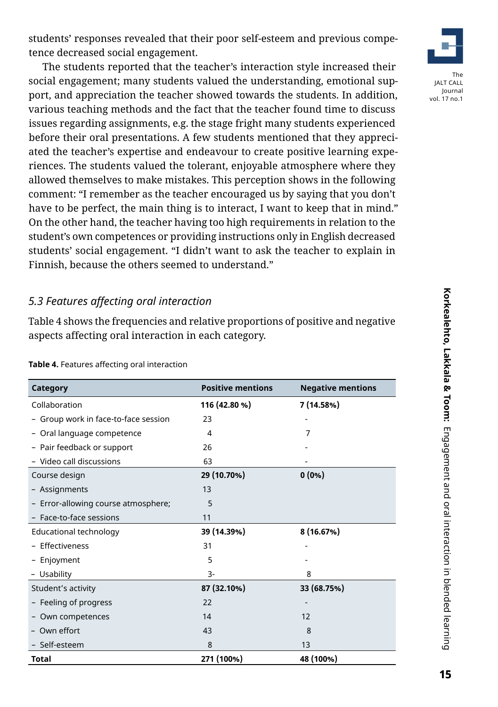students' responses revealed that their poor self-esteem and previous competence decreased social engagement.

The students reported that the teacher's interaction style increased their social engagement; many students valued the understanding, emotional support, and appreciation the teacher showed towards the students. In addition, various teaching methods and the fact that the teacher found time to discuss issues regarding assignments, e.g. the stage fright many students experienced before their oral presentations. A few students mentioned that they appreciated the teacher's expertise and endeavour to create positive learning experiences. The students valued the tolerant, enjoyable atmosphere where they allowed themselves to make mistakes. This perception shows in the following comment: "I remember as the teacher encouraged us by saying that you don't have to be perfect, the main thing is to interact, I want to keep that in mind." On the other hand, the teacher having too high requirements in relation to the student's own competences or providing instructions only in English decreased students' social engagement. "I didn't want to ask the teacher to explain in Finnish, because the others seemed to understand."

#### *5.3 Features affecting oral interaction*

Table 4 shows the frequencies and relative proportions of positive and negative aspects affecting oral interaction in each category.

| Category                             | <b>Positive mentions</b> | <b>Negative mentions</b> |
|--------------------------------------|--------------------------|--------------------------|
| Collaboration                        | 116 (42.80 %)            | 7 (14.58%)               |
| - Group work in face-to-face session | 23                       |                          |
| Oral language competence<br>-        | 4                        | 7                        |
| - Pair feedback or support           | 26                       |                          |
| - Video call discussions             | 63                       |                          |
| Course design                        | 29 (10.70%)              | $0(0\%)$                 |
| - Assignments                        | 13                       |                          |
| - Error-allowing course atmosphere;  | 5                        |                          |
| - Face-to-face sessions              | 11                       |                          |
| Educational technology               | 39 (14.39%)              | 8 (16.67%)               |
| - Effectiveness                      | 31                       |                          |
| - Enjoyment                          | 5                        |                          |
| - Usability                          | $3 -$                    | 8                        |
| Student's activity                   | 87 (32.10%)              | 33 (68.75%)              |
| - Feeling of progress                | 22                       | -                        |
| - Own competences                    | 14                       | 12                       |
| Own effort                           | 43                       | 8                        |
| - Self-esteem                        | 8                        | 13                       |
| <b>Total</b>                         | 271 (100%)               | 48 (100%)                |

**Table 4.** Features affecting oral interaction

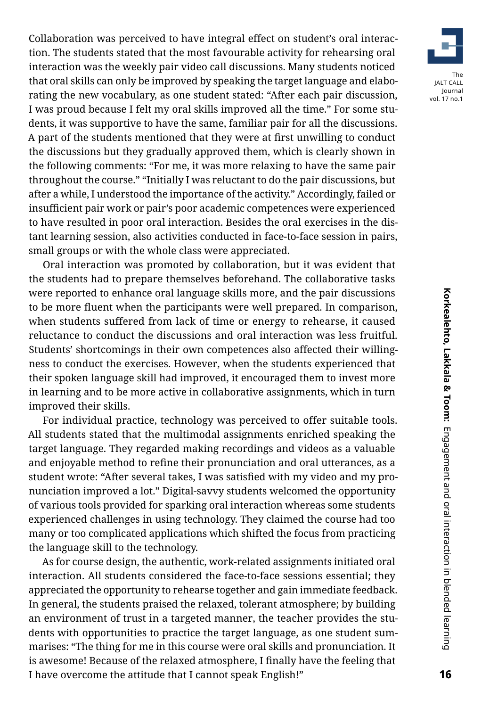Collaboration was perceived to have integral effect on student's oral interaction. The students stated that the most favourable activity for rehearsing oral interaction was the weekly pair video call discussions. Many students noticed that oral skills can only be improved by speaking the target language and elaborating the new vocabulary, as one student stated: "After each pair discussion, I was proud because I felt my oral skills improved all the time." For some students, it was supportive to have the same, familiar pair for all the discussions. A part of the students mentioned that they were at first unwilling to conduct the discussions but they gradually approved them, which is clearly shown in the following comments: "For me, it was more relaxing to have the same pair throughout the course." "Initially I was reluctant to do the pair discussions, but after a while, I understood the importance of the activity." Accordingly, failed or insufficient pair work or pair's poor academic competences were experienced to have resulted in poor oral interaction. Besides the oral exercises in the distant learning session, also activities conducted in face-to-face session in pairs, small groups or with the whole class were appreciated.

Oral interaction was promoted by collaboration, but it was evident that the students had to prepare themselves beforehand. The collaborative tasks were reported to enhance oral language skills more, and the pair discussions to be more fluent when the participants were well prepared. In comparison, when students suffered from lack of time or energy to rehearse, it caused reluctance to conduct the discussions and oral interaction was less fruitful. Students' shortcomings in their own competences also affected their willingness to conduct the exercises. However, when the students experienced that their spoken language skill had improved, it encouraged them to invest more in learning and to be more active in collaborative assignments, which in turn improved their skills.

For individual practice, technology was perceived to offer suitable tools. All students stated that the multimodal assignments enriched speaking the target language. They regarded making recordings and videos as a valuable and enjoyable method to refine their pronunciation and oral utterances, as a student wrote: "After several takes, I was satisfied with my video and my pronunciation improved a lot." Digital-savvy students welcomed the opportunity of various tools provided for sparking oral interaction whereas some students experienced challenges in using technology. They claimed the course had too many or too complicated applications which shifted the focus from practicing the language skill to the technology.

As for course design, the authentic, work-related assignments initiated oral interaction. All students considered the face-to-face sessions essential; they appreciated the opportunity to rehearse together and gain immediate feedback. In general, the students praised the relaxed, tolerant atmosphere; by building an environment of trust in a targeted manner, the teacher provides the students with opportunities to practice the target language, as one student summarises: "The thing for me in this course were oral skills and pronunciation. It is awesome! Because of the relaxed atmosphere, I finally have the feeling that I have overcome the attitude that I cannot speak English!"

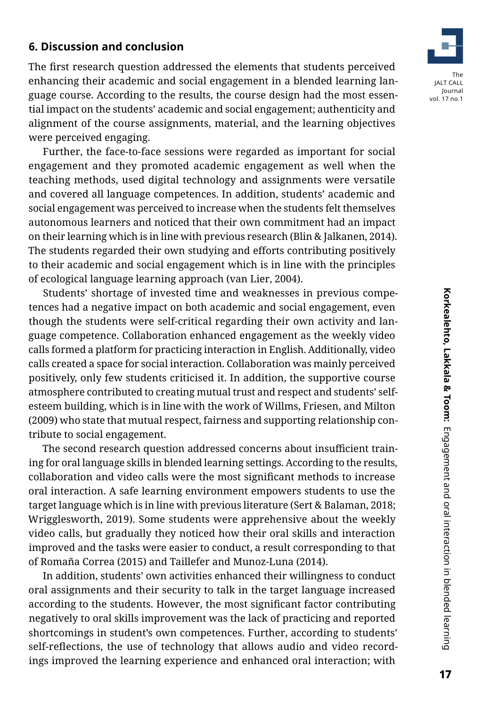#### **6. Discussion and conclusion**

The first research question addressed the elements that students perceived enhancing their academic and social engagement in a blended learning language course. According to the results, the course design had the most essential impact on the students' academic and social engagement; authenticity and alignment of the course assignments, material, and the learning objectives were perceived engaging.

Further, the face-to-face sessions were regarded as important for social engagement and they promoted academic engagement as well when the teaching methods, used digital technology and assignments were versatile and covered all language competences. In addition, students' academic and social engagement was perceived to increase when the students felt themselves autonomous learners and noticed that their own commitment had an impact on their learning which is in line with previous research (Blin & Jalkanen, 2014). The students regarded their own studying and efforts contributing positively to their academic and social engagement which is in line with the principles of ecological language learning approach (van Lier, 2004).

Students' shortage of invested time and weaknesses in previous competences had a negative impact on both academic and social engagement, even though the students were self-critical regarding their own activity and language competence. Collaboration enhanced engagement as the weekly video calls formed a platform for practicing interaction in English. Additionally, video calls created a space for social interaction. Collaboration was mainly perceived positively, only few students criticised it. In addition, the supportive course atmosphere contributed to creating mutual trust and respect and students' selfesteem building, which is in line with the work of Willms, Friesen, and Milton (2009) who state that mutual respect, fairness and supporting relationship contribute to social engagement.

The second research question addressed concerns about insufficient training for oral language skills in blended learning settings. According to the results, collaboration and video calls were the most significant methods to increase oral interaction. A safe learning environment empowers students to use the target language which is in line with previous literature (Sert & Balaman, 2018; Wrigglesworth, 2019). Some students were apprehensive about the weekly video calls, but gradually they noticed how their oral skills and interaction improved and the tasks were easier to conduct, a result corresponding to that of Romaña Correa (2015) and Taillefer and Munoz-Luna (2014).

In addition, students' own activities enhanced their willingness to conduct oral assignments and their security to talk in the target language increased according to the students. However, the most significant factor contributing negatively to oral skills improvement was the lack of practicing and reported shortcomings in student's own competences. Further, according to students' self-reflections, the use of technology that allows audio and video recordings improved the learning experience and enhanced oral interaction; with

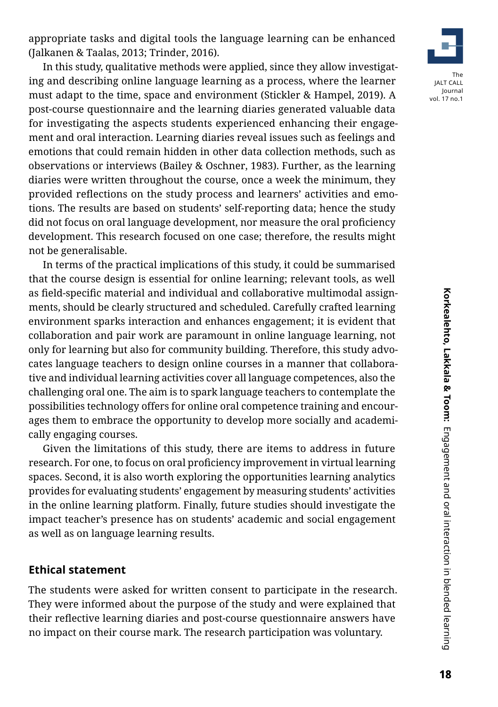appropriate tasks and digital tools the language learning can be enhanced (Jalkanen & Taalas, 2013; Trinder, 2016).

In this study, qualitative methods were applied, since they allow investigating and describing online language learning as a process, where the learner must adapt to the time, space and environment (Stickler & Hampel, 2019). A post-course questionnaire and the learning diaries generated valuable data for investigating the aspects students experienced enhancing their engagement and oral interaction. Learning diaries reveal issues such as feelings and emotions that could remain hidden in other data collection methods, such as observations or interviews (Bailey & Oschner, 1983). Further, as the learning diaries were written throughout the course, once a week the minimum, they provided reflections on the study process and learners' activities and emotions. The results are based on students' self-reporting data; hence the study did not focus on oral language development, nor measure the oral proficiency development. This research focused on one case; therefore, the results might not be generalisable.

In terms of the practical implications of this study, it could be summarised that the course design is essential for online learning; relevant tools, as well as field-specific material and individual and collaborative multimodal assignments, should be clearly structured and scheduled. Carefully crafted learning environment sparks interaction and enhances engagement; it is evident that collaboration and pair work are paramount in online language learning, not only for learning but also for community building. Therefore, this study advocates language teachers to design online courses in a manner that collaborative and individual learning activities cover all language competences, also the challenging oral one. The aim is to spark language teachers to contemplate the possibilities technology offers for online oral competence training and encourages them to embrace the opportunity to develop more socially and academically engaging courses.

Given the limitations of this study, there are items to address in future research. For one, to focus on oral proficiency improvement in virtual learning spaces. Second, it is also worth exploring the opportunities learning analytics provides for evaluating students' engagement by measuring students' activities in the online learning platform. Finally, future studies should investigate the impact teacher's presence has on students' academic and social engagement as well as on language learning results.

#### **Ethical statement**

The students were asked for written consent to participate in the research. They were informed about the purpose of the study and were explained that their reflective learning diaries and post-course questionnaire answers have no impact on their course mark. The research participation was voluntary.

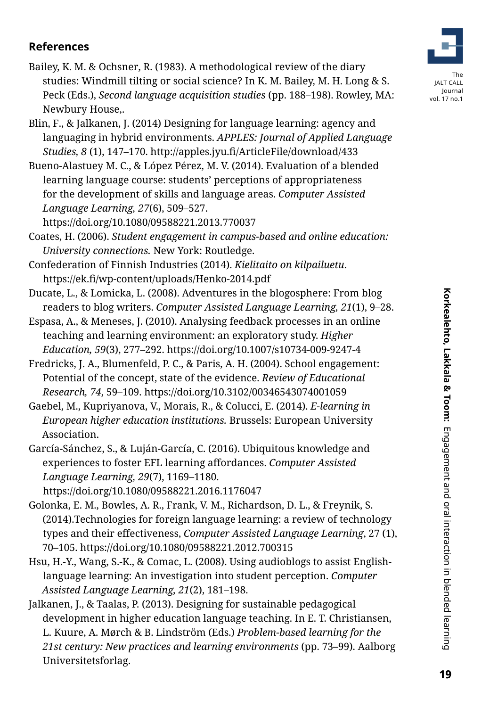**References**

Newbury House,.

languaging in hybrid environments. *APPLES: Journal of Applied Language Studies, 8* (1), 147–170. http://apples.jyu.fi/ArticleFile/download/433

Blin, F., & Jalkanen, J. (2014) Designing for language learning: agency and

Bailey, K. M. & Ochsner, R. (1983). A methodological review of the diary

studies: Windmill tilting or social science? In K. M. Bailey, M. H. Long & S. Peck (Eds.), *Second language acquisition studies* (pp. 188–198). Rowley, MA:

Bueno-Alastuey M. C., & López Pérez, M. V. (2014). Evaluation of a blended learning language course: students' perceptions of appropriateness for the development of skills and language areas. *Computer Assisted Language Learning, 27*(6), 509–527.

https://doi.org/10.1080/09588221.2013.770037

Coates, H. (2006). *Student engagement in campus-based and online education: University connections.* New York: Routledge.

- Confederation of Finnish Industries (2014). *Kielitaito on kilpailuetu*. https://ek.fi/wp-content/uploads/Henko-2014.pdf
- Ducate, L., & Lomicka, L. (2008). Adventures in the blogosphere: From blog readers to blog writers. *Computer Assisted Language Learning, 21*(1), 9–28.
- Espasa, A., & Meneses, J. (2010). Analysing feedback processes in an online teaching and learning environment: an exploratory study. *Higher Education, 59*(3), 277–292. https://doi.org/10.1007/s10734-009-9247-4
- Fredricks, J. A., Blumenfeld, P. C., & Paris, A. H. (2004). School engagement: Potential of the concept, state of the evidence. *Review of Educational Research, 74*, 59–109. https://doi.org/10.3102/00346543074001059
- Gaebel, M., Kupriyanova, V., Morais, R., & Colucci, E. (2014). *E-learning in European higher education institutions.* Brussels: European University Association.
- García-Sánchez, S., & Luján-García, C. (2016). Ubiquitous knowledge and experiences to foster EFL learning affordances. *Computer Assisted Language Learning, 29*(7), 1169–1180.

https://doi.org/10.1080/09588221.2016.1176047

- Golonka, E. M., Bowles, A. R., Frank, V. M., Richardson, D. L., & Freynik, S. (2014).Technologies for foreign language learning: a review of technology types and their effectiveness, *Computer Assisted Language Learning*, 27 (1), 70–105. https://doi.org/10.1080/09588221.2012.700315
- Hsu, H.-Y., Wang, S.-K., & Comac, L. (2008). Using audioblogs to assist Englishlanguage learning: An investigation into student perception. *Computer Assisted Language Learning, 21*(2), 181–198.

Jalkanen, J., & Taalas, P. (2013). Designing for sustainable pedagogical development in higher education language teaching. In E. T. Christiansen, L. Kuure, A. Mørch & B. Lindström (Eds.) *Problem-based learning for the 21st century: New practices and learning environments* (pp. 73–99). Aalborg Universitetsforlag.

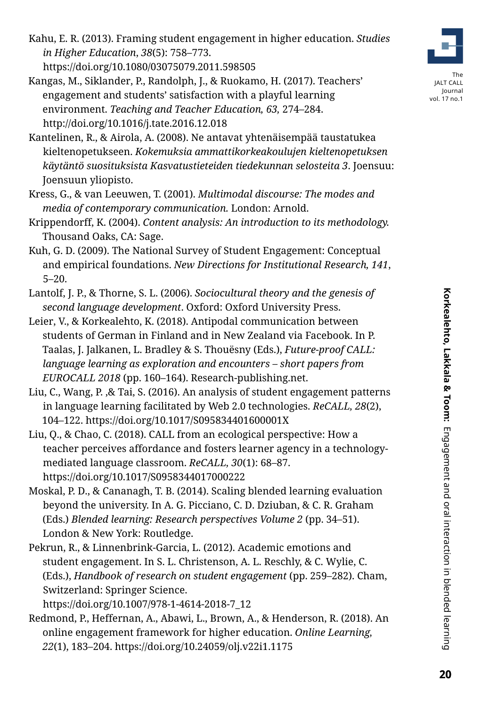- Kahu, E. R. (2013). Framing student engagement in higher education. *Studies in Higher Education*, *38*(5): 758–773. https://doi.org/10.1080/03075079.2011.598505
- Kangas, M., Siklander, P., Randolph, J., & Ruokamo, H. (2017). Teachers' engagement and students' satisfaction with a playful learning environment. *Teaching and Teacher Education, 63,* 274*–*284. http://doi.org/10.1016/j.tate.2016.12.018
- Kantelinen, R., & Airola, A. (2008). Ne antavat yhtenäisempää taustatukea kieltenopetukseen. *Kokemuksia ammattikorkeakoulujen kieltenopetuksen käytäntö suosituksista Kasvatustieteiden tiedekunnan selosteita 3*. Joensuu: Joensuun yliopisto.
- Kress, G., & van Leeuwen, T. (2001). *Multimodal discourse: The modes and media of contemporary communication.* London: Arnold.
- Krippendorff, K. (2004). *Content analysis: An introduction to its methodology.* Thousand Oaks, CA: Sage.
- Kuh, G. D. (2009). The National Survey of Student Engagement: Conceptual and empirical foundations. *New Directions for Institutional Research, 141*, 5–20.
- Lantolf, J. P., & Thorne, S. L. (2006). *Sociocultural theory and the genesis of second language development*. Oxford: Oxford University Press.
- Leier, V., & Korkealehto, K. (2018). Antipodal communication between students of German in Finland and in New Zealand via Facebook. In P. Taalas, J. Jalkanen, L. Bradley & S. Thouësny (Eds.), *Future-proof CALL: language learning as exploration and encounters – short papers from EUROCALL 2018* (pp. 160–164). Research-publishing.net.
- Liu, C., Wang, P. ,& Tai, S. (2016). An analysis of student engagement patterns in language learning facilitated by Web 2.0 technologies. *ReCALL, 28*(2), 104–122. https://doi.org/10.1017/S095834401600001X
- Liu, Q., & Chao, C. (2018). CALL from an ecological perspective: How a teacher perceives affordance and fosters learner agency in a technologymediated language classroom. *ReCALL, 30*(1): 68–87. https://doi.org/10.1017/S0958344017000222
- Moskal, P. D., & Cananagh, T. B. (2014). Scaling blended learning evaluation beyond the university. In A. G. Picciano, C. D. Dziuban, & C. R. Graham (Eds.) *Blended learning: Research perspectives Volume 2* (pp. 34–51). London & New York: Routledge.
- Pekrun, R., & Linnenbrink-Garcia, L. (2012). Academic emotions and student engagement. In S. L. Christenson, A. L. Reschly, & C. Wylie, C. (Eds.), *Handbook of research on student engagement* (pp. 259–282). Cham, Switzerland: Springer Science.

https://doi.org/10.1007/978-1-4614-2018-7\_12

Redmond, P., Heffernan, A., Abawi, L., Brown, A., & Henderson, R. (2018). An online engagement framework for higher education. *Online Learning, 22*(1), 183–204. https://doi.org/10.24059/olj.v22i1.1175

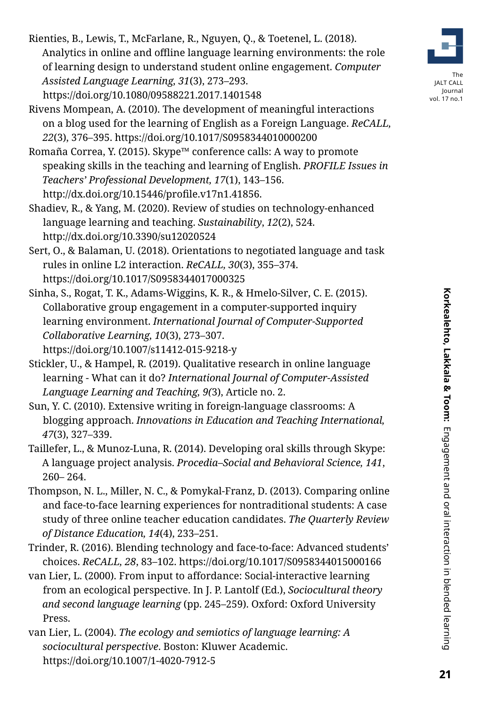Rienties, B., Lewis, T., McFarlane, R., Nguyen, Q., & Toetenel, L. (2018). Analytics in online and offline language learning environments: the role of learning design to understand student online engagement. *Computer Assisted Language Learning, 31*(3), 273–293. https://doi.org/10.1080/09588221.2017.1401548

Rivens Mompean, A. (2010). The development of meaningful interactions on a blog used for the learning of English as a Foreign Language. *ReCALL, 22*(3), 376–395. https://doi.org/10.1017/S0958344010000200

Romaña Correa, Y. (2015). Skype™ conference calls: A way to promote speaking skills in the teaching and learning of English. *PROFILE Issues in Teachers' Professional Development, 17*(1), 143–156. http://dx.doi.org/10.15446/profile.v17n1.41856.

Shadiev, R., & Yang, M. (2020). Review of studies on technology-enhanced language learning and teaching. *Sustainability*, *12*(2), 524. http://dx.doi.org/10.3390/su12020524

Sert, O., & Balaman, U. (2018). Orientations to negotiated language and task rules in online L2 interaction. *ReCALL, 30*(3), 355–374. https://doi.org/10.1017/S0958344017000325

Sinha, S., Rogat, T. K., Adams-Wiggins, K. R., & Hmelo-Silver, C. E. (2015). Collaborative group engagement in a computer-supported inquiry learning environment. *International Journal of Computer-Supported Collaborative Learning, 10*(3), 273–307. https://doi.org/10.1007/s11412-015-9218-y

Stickler, U., & Hampel, R. (2019). Qualitative research in online language learning - What can it do? *International Journal of Computer-Assisted Language Learning and Teaching, 9(*3), Article no. 2.

Sun, Y. C. (2010). Extensive writing in foreign-language classrooms: A blogging approach. *Innovations in Education and Teaching International, 47*(3), 327–339.

Taillefer, L., & Munoz-Luna, R. (2014). Developing oral skills through Skype: A language project analysis. *Procedia–Social and Behavioral Science, 141*, 260– 264.

Thompson, N. L., Miller, N. C., & Pomykal-Franz, D. (2013). Comparing online and face-to-face learning experiences for nontraditional students: A case study of three online teacher education candidates. *The Quarterly Review of Distance Education, 14*(4), 233–251.

Trinder, R. (2016). Blending technology and face-to-face: Advanced students' choices. *ReCALL, 28*, 83–102. https://doi.org/10.1017/S0958344015000166

van Lier, L. (2000). From input to affordance: Social-interactive learning from an ecological perspective. In J. P. Lantolf (Ed.), *Sociocultural theory and second language learning* (pp. 245–259). Oxford: Oxford University Press.

van Lier, L. (2004). *The ecology and semiotics of language learning: A sociocultural perspective*. Boston: Kluwer Academic. https://doi.org/10.1007/1-4020-7912-5